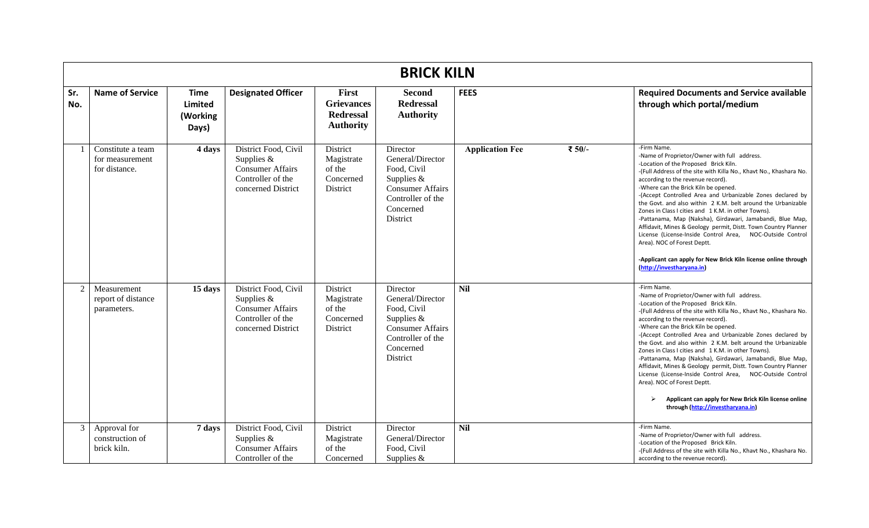|            | <b>BRICK KILN</b>                                     |                                             |                                                                                                            |                                                                    |                                                                                                                                      |                        |        |                                                                                                                                                                                                                                                                                                                                                                                                                                                                                                                                                                                                                                                                                                                                                                        |  |  |  |
|------------|-------------------------------------------------------|---------------------------------------------|------------------------------------------------------------------------------------------------------------|--------------------------------------------------------------------|--------------------------------------------------------------------------------------------------------------------------------------|------------------------|--------|------------------------------------------------------------------------------------------------------------------------------------------------------------------------------------------------------------------------------------------------------------------------------------------------------------------------------------------------------------------------------------------------------------------------------------------------------------------------------------------------------------------------------------------------------------------------------------------------------------------------------------------------------------------------------------------------------------------------------------------------------------------------|--|--|--|
| Sr.<br>No. | <b>Name of Service</b>                                | <b>Time</b><br>Limited<br>(Working<br>Days) | <b>Designated Officer</b>                                                                                  | First<br><b>Grievances</b><br><b>Redressal</b><br><b>Authority</b> | <b>Second</b><br><b>Redressal</b><br><b>Authority</b>                                                                                | <b>FEES</b>            |        | <b>Required Documents and Service available</b><br>through which portal/medium                                                                                                                                                                                                                                                                                                                                                                                                                                                                                                                                                                                                                                                                                         |  |  |  |
|            | Constitute a team<br>for measurement<br>for distance. | 4 days                                      | District Food, Civil<br>Supplies $&$<br><b>Consumer Affairs</b><br>Controller of the<br>concerned District | District<br>Magistrate<br>of the<br>Concerned<br>District          | Director<br>General/Director<br>Food, Civil<br>Supplies $&$<br><b>Consumer Affairs</b><br>Controller of the<br>Concerned<br>District | <b>Application Fee</b> | ₹ 50/- | -Firm Name.<br>-Name of Proprietor/Owner with full address.<br>-Location of the Proposed Brick Kiln.<br>-(Full Address of the site with Killa No., Khavt No., Khashara No.<br>according to the revenue record).<br>-Where can the Brick Kiln be opened.<br>-(Accept Controlled Area and Urbanizable Zones declared by<br>the Govt. and also within 2 K.M. belt around the Urbanizable<br>Zones in Class I cities and 1 K.M. in other Towns).<br>-Pattanama, Map (Naksha), Girdawari, Jamabandi, Blue Map,<br>Affidavit, Mines & Geology permit, Distt. Town Country Planner<br>License (License-Inside Control Area, NOC-Outside Control<br>Area). NOC of Forest Deptt.<br>-Applicant can apply for New Brick Kiln license online through<br>(http://investharyana.in) |  |  |  |
| 2          | Measurement<br>report of distance<br>parameters.      | 15 days                                     | District Food, Civil<br>Supplies $&$<br><b>Consumer Affairs</b><br>Controller of the<br>concerned District | District<br>Magistrate<br>of the<br>Concerned<br>District          | Director<br>General/Director<br>Food, Civil<br>Supplies $&$<br><b>Consumer Affairs</b><br>Controller of the<br>Concerned<br>District | <b>Nil</b>             |        | -Firm Name.<br>-Name of Proprietor/Owner with full address.<br>-Location of the Proposed Brick Kiln.<br>-(Full Address of the site with Killa No., Khavt No., Khashara No.<br>according to the revenue record).<br>-Where can the Brick Kiln be opened.<br>-(Accept Controlled Area and Urbanizable Zones declared by<br>the Govt. and also within 2 K.M. belt around the Urbanizable<br>Zones in Class I cities and 1 K.M. in other Towns).<br>-Pattanama, Map (Naksha), Girdawari, Jamabandi, Blue Map,<br>Affidavit, Mines & Geology permit, Distt. Town Country Planner<br>License (License-Inside Control Area, NOC-Outside Control<br>Area). NOC of Forest Deptt.<br>Applicant can apply for New Brick Kiln license online<br>through (http://investharyana.in)  |  |  |  |
| 3          | Approval for<br>construction of<br>brick kiln.        | 7 days                                      | District Food, Civil<br>Supplies $&$<br><b>Consumer Affairs</b><br>Controller of the                       | District<br>Magistrate<br>of the<br>Concerned                      | Director<br>General/Director<br>Food, Civil<br>Supplies $&$                                                                          | <b>Nil</b>             |        | -Firm Name.<br>-Name of Proprietor/Owner with full address.<br>-Location of the Proposed Brick Kiln.<br>-(Full Address of the site with Killa No., Khavt No., Khashara No.<br>according to the revenue record).                                                                                                                                                                                                                                                                                                                                                                                                                                                                                                                                                        |  |  |  |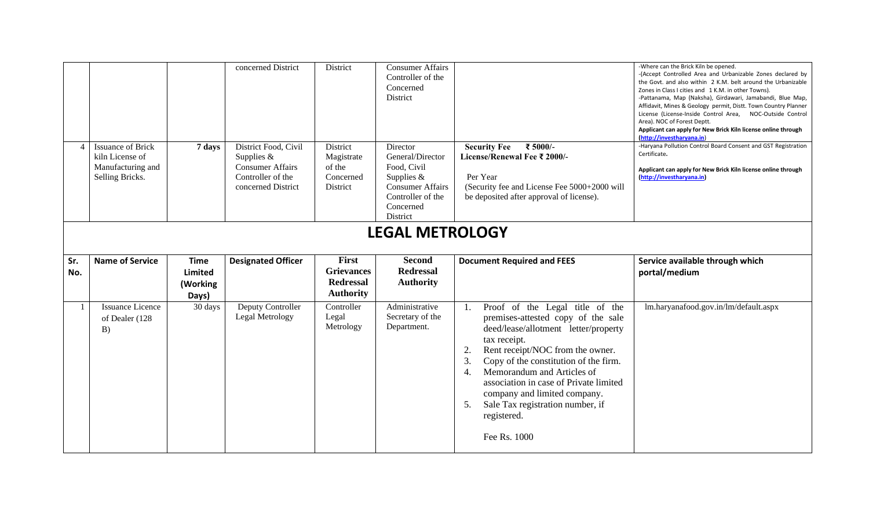|            |                                             |                                                    | concerned District                                                 | District                                                                  | <b>Consumer Affairs</b><br>Controller of the<br>Concerned<br>District                                |                                                                                                      | -Where can the Brick Kiln be opened.<br>-(Accept Controlled Area and Urbanizable Zones declared by<br>the Govt. and also within 2 K.M. belt around the Urbanizable<br>Zones in Class I cities and 1 K.M. in other Towns).<br>-Pattanama, Map (Naksha), Girdawari, Jamabandi, Blue Map,<br>Affidavit, Mines & Geology permit, Distt. Town Country Planner<br>License (License-Inside Control Area, NOC-Outside Control<br>Area). NOC of Forest Deptt.<br>Applicant can apply for New Brick Kiln license online through<br>(http://investharyana.in) |  |  |  |  |
|------------|---------------------------------------------|----------------------------------------------------|--------------------------------------------------------------------|---------------------------------------------------------------------------|------------------------------------------------------------------------------------------------------|------------------------------------------------------------------------------------------------------|----------------------------------------------------------------------------------------------------------------------------------------------------------------------------------------------------------------------------------------------------------------------------------------------------------------------------------------------------------------------------------------------------------------------------------------------------------------------------------------------------------------------------------------------------|--|--|--|--|
|            | <b>Issuance of Brick</b><br>kiln License of | 7 days                                             | District Food, Civil<br>Supplies $&$                               | District<br>Magistrate                                                    | Director<br>General/Director                                                                         | ₹ 5000/-<br><b>Security Fee</b><br>License/Renewal Fee ₹ 2000/-                                      | -Haryana Pollution Control Board Consent and GST Registration<br>Certificate.                                                                                                                                                                                                                                                                                                                                                                                                                                                                      |  |  |  |  |
|            | Manufacturing and<br>Selling Bricks.        |                                                    | <b>Consumer Affairs</b><br>Controller of the<br>concerned District | of the<br>Concerned<br>District                                           | Food, Civil<br>Supplies $&$<br><b>Consumer Affairs</b><br>Controller of the<br>Concerned<br>District | Per Year<br>(Security fee and License Fee 5000+2000 will<br>be deposited after approval of license). | Applicant can apply for New Brick Kiln license online through<br>(http://investharyana.in)                                                                                                                                                                                                                                                                                                                                                                                                                                                         |  |  |  |  |
|            | <b>LEGAL METROLOGY</b>                      |                                                    |                                                                    |                                                                           |                                                                                                      |                                                                                                      |                                                                                                                                                                                                                                                                                                                                                                                                                                                                                                                                                    |  |  |  |  |
|            |                                             |                                                    |                                                                    |                                                                           |                                                                                                      |                                                                                                      |                                                                                                                                                                                                                                                                                                                                                                                                                                                                                                                                                    |  |  |  |  |
| Sr.<br>No. | <b>Name of Service</b>                      | <b>Time</b><br><b>Limited</b><br>(Working<br>Days) | <b>Designated Officer</b>                                          | <b>First</b><br><b>Grievances</b><br><b>Redressal</b><br><b>Authority</b> | <b>Second</b><br><b>Redressal</b><br><b>Authority</b>                                                | <b>Document Required and FEES</b>                                                                    | Service available through which<br>portal/medium                                                                                                                                                                                                                                                                                                                                                                                                                                                                                                   |  |  |  |  |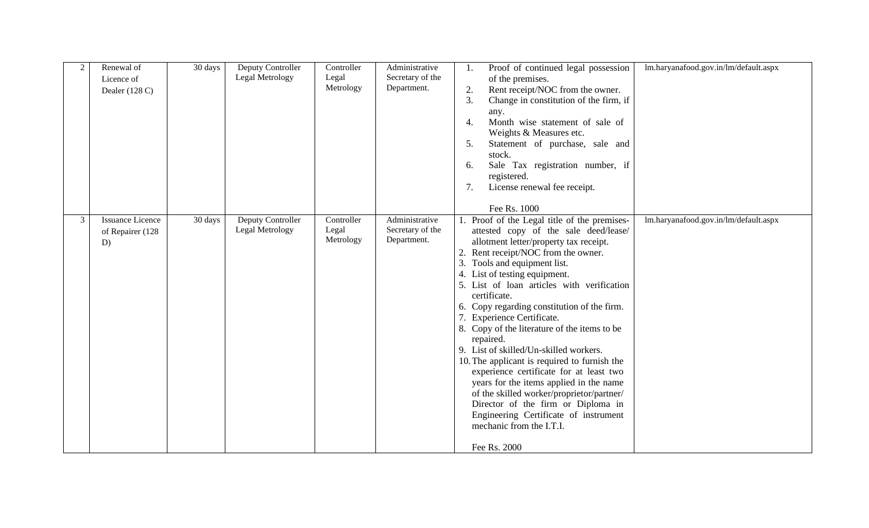| 2              | Renewal of<br>Licence of<br>Dealer $(128 C)$      | 30 days | Deputy Controller<br>Legal Metrology | Controller<br>Legal<br>Metrology | Administrative<br>Secretary of the<br>Department. | Proof of continued legal possession<br>1.<br>of the premises.<br>Rent receipt/NOC from the owner.<br>2.<br>Change in constitution of the firm, if<br>3.<br>any.<br>Month wise statement of sale of<br>4.<br>Weights & Measures etc.<br>5.<br>Statement of purchase, sale and<br>stock.<br>Sale Tax registration number, if<br>6.<br>registered.<br>License renewal fee receipt.<br>7.<br>Fee Rs. 1000                                                                                                                                                                                                                                                                                                                                                                                                | lm.haryanafood.gov.in/lm/default.aspx |
|----------------|---------------------------------------------------|---------|--------------------------------------|----------------------------------|---------------------------------------------------|------------------------------------------------------------------------------------------------------------------------------------------------------------------------------------------------------------------------------------------------------------------------------------------------------------------------------------------------------------------------------------------------------------------------------------------------------------------------------------------------------------------------------------------------------------------------------------------------------------------------------------------------------------------------------------------------------------------------------------------------------------------------------------------------------|---------------------------------------|
| $\mathfrak{Z}$ | <b>Issuance Licence</b><br>of Repairer (128<br>D) | 30 days | Deputy Controller<br>Legal Metrology | Controller<br>Legal<br>Metrology | Administrative<br>Secretary of the<br>Department. | Proof of the Legal title of the premises-<br>attested copy of the sale deed/lease/<br>allotment letter/property tax receipt.<br>2. Rent receipt/NOC from the owner.<br>3. Tools and equipment list.<br>4. List of testing equipment.<br>5. List of loan articles with verification<br>certificate.<br>6. Copy regarding constitution of the firm.<br>7. Experience Certificate.<br>8. Copy of the literature of the items to be<br>repaired.<br>9. List of skilled/Un-skilled workers.<br>10. The applicant is required to furnish the<br>experience certificate for at least two<br>years for the items applied in the name<br>of the skilled worker/proprietor/partner/<br>Director of the firm or Diploma in<br>Engineering Certificate of instrument<br>mechanic from the I.T.I.<br>Fee Rs. 2000 | lm.haryanafood.gov.in/lm/default.aspx |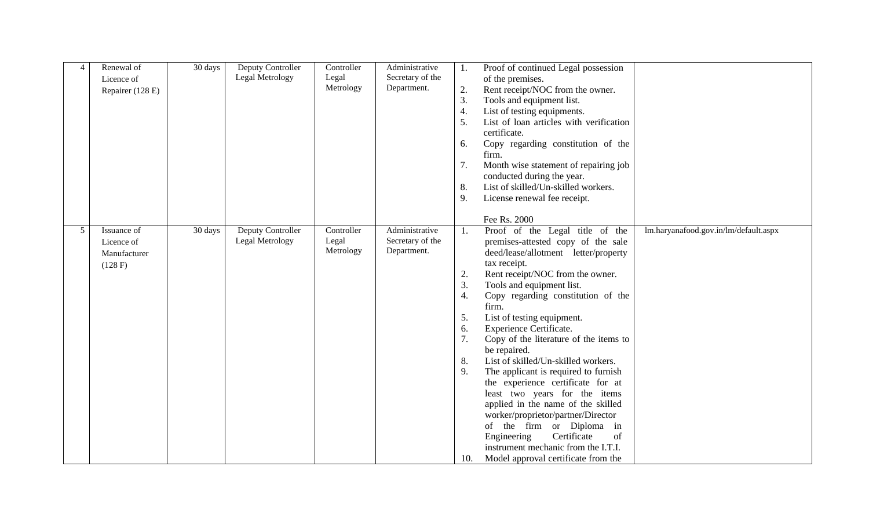| $\overline{4}$  | Renewal of<br>Licence of<br>Repairer (128 E)         | 30 days | Deputy Controller<br>Legal Metrology | Controller<br>Legal<br>Metrology | Administrative<br>Secretary of the<br>Department. | Proof of continued Legal possession<br>1.<br>of the premises.<br>2.<br>Rent receipt/NOC from the owner.<br>3.<br>Tools and equipment list.<br>List of testing equipments.<br>4.<br>List of loan articles with verification<br>5.<br>certificate.<br>Copy regarding constitution of the<br>6.<br>firm.<br>Month wise statement of repairing job<br>7.<br>conducted during the year.<br>List of skilled/Un-skilled workers.<br>8.<br>License renewal fee receipt.<br>9.<br>Fee Rs. 2000                                                                                                                                                                                                                                                                                                                                                                  |
|-----------------|------------------------------------------------------|---------|--------------------------------------|----------------------------------|---------------------------------------------------|--------------------------------------------------------------------------------------------------------------------------------------------------------------------------------------------------------------------------------------------------------------------------------------------------------------------------------------------------------------------------------------------------------------------------------------------------------------------------------------------------------------------------------------------------------------------------------------------------------------------------------------------------------------------------------------------------------------------------------------------------------------------------------------------------------------------------------------------------------|
| $5\overline{)}$ | Issuance of<br>Licence of<br>Manufacturer<br>(128 F) | 30 days | Deputy Controller<br>Legal Metrology | Controller<br>Legal<br>Metrology | Administrative<br>Secretary of the<br>Department. | Proof of the Legal title of the<br>lm.haryanafood.gov.in/lm/default.aspx<br>1.<br>premises-attested copy of the sale<br>deed/lease/allotment letter/property<br>tax receipt.<br>Rent receipt/NOC from the owner.<br>2.<br>Tools and equipment list.<br>3.<br>Copy regarding constitution of the<br>4.<br>firm.<br>List of testing equipment.<br>5.<br>Experience Certificate.<br>6.<br>7.<br>Copy of the literature of the items to<br>be repaired.<br>List of skilled/Un-skilled workers.<br>8.<br>9.<br>The applicant is required to furnish<br>the experience certificate for at<br>least two years for the items<br>applied in the name of the skilled<br>worker/proprietor/partner/Director<br>of the firm or Diploma in<br>Certificate<br>of<br>Engineering<br>instrument mechanic from the I.T.I.<br>Model approval certificate from the<br>10. |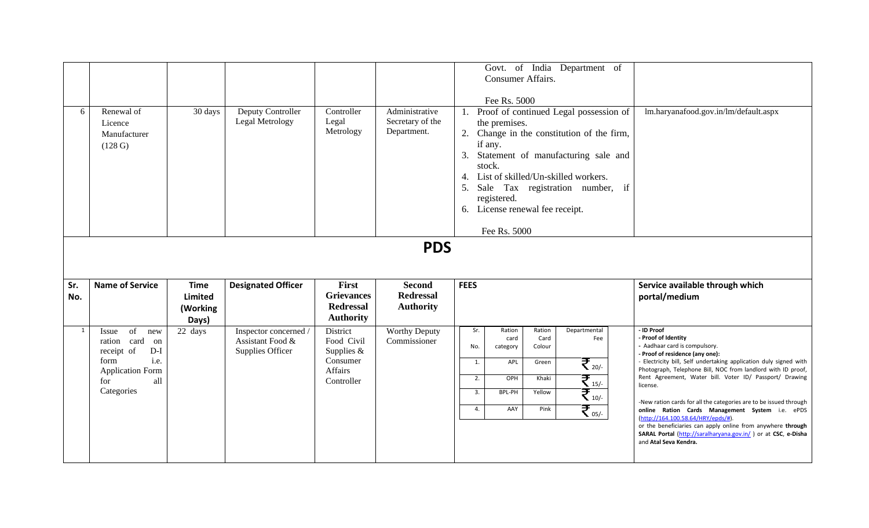| 6            | Renewal of<br>Licence<br>Manufacturer<br>(128 G)                                                                                      | 30 days                            | Deputy Controller<br>Legal Metrology                          | Controller<br>Legal<br>Metrology                                            | Administrative<br>Secretary of the<br>Department.                   | Govt. of India Department of<br>Consumer Affairs.<br>Fee Rs. 5000<br>1. Proof of continued Legal possession of<br>the premises.<br>2. Change in the constitution of the firm,<br>if any.<br>Statement of manufacturing sale and<br>3.<br>stock.<br>4. List of skilled/Un-skilled workers.<br>Sale Tax registration number, if<br>5.<br>registered.<br>6. License renewal fee receipt.<br>Fee Rs. 5000 | lm.haryanafood.gov.in/lm/default.aspx                                                                                                                                                                                                                                                                                                                                                                                                                                                                                                                                                                                                    |
|--------------|---------------------------------------------------------------------------------------------------------------------------------------|------------------------------------|---------------------------------------------------------------|-----------------------------------------------------------------------------|---------------------------------------------------------------------|-------------------------------------------------------------------------------------------------------------------------------------------------------------------------------------------------------------------------------------------------------------------------------------------------------------------------------------------------------------------------------------------------------|------------------------------------------------------------------------------------------------------------------------------------------------------------------------------------------------------------------------------------------------------------------------------------------------------------------------------------------------------------------------------------------------------------------------------------------------------------------------------------------------------------------------------------------------------------------------------------------------------------------------------------------|
| Sr.<br>No.   | <b>Name of Service</b>                                                                                                                | <b>Time</b><br>Limited<br>(Working | <b>Designated Officer</b>                                     | First<br><b>Grievances</b><br><b>Redressal</b><br><b>Authority</b>          | <b>PDS</b><br><b>Second</b><br><b>Redressal</b><br><b>Authority</b> | <b>FEES</b>                                                                                                                                                                                                                                                                                                                                                                                           | Service available through which<br>portal/medium                                                                                                                                                                                                                                                                                                                                                                                                                                                                                                                                                                                         |
| $\mathbf{1}$ | of<br>Issue<br>new<br>ration card<br>on<br>$D-I$<br>receipt of<br>i.e.<br>form<br><b>Application Form</b><br>all<br>for<br>Categories | Days)<br>22 days                   | Inspector concerned /<br>Assistant Food &<br>Supplies Officer | District<br>Food Civil<br>Supplies $&$<br>Consumer<br>Affairs<br>Controller | <b>Worthy Deputy</b><br>Commissioner                                | Departmental<br>Sr.<br>Ration<br>Ration<br>card<br>Card<br>Fee<br>No.<br>Colour<br>category<br>$\mathfrak{F}_{\tiny{20/-}}$<br>APL<br>1.<br>Green<br>$\sum_{15/-}$<br>OPH<br>2.<br>Khaki<br>$\mathfrak{F}_{\scriptscriptstyle{10\prime}}$<br>BPL-PH<br>Yellow<br>3.<br>$\overline{\mathcal{F}}_{_{05/-}}$<br>AAY<br>Pink<br>4.                                                                        | - ID Proof<br>- Proof of Identity<br>- Aadhaar card is compulsory.<br>- Proof of residence (any one):<br>- Electricity bill, Self undertaking application duly signed with<br>Photograph, Telephone Bill, NOC from landlord with ID proof,<br>Rent Agreement, Water bill. Voter ID/ Passport/ Drawing<br>license.<br>-New ration cards for all the categories are to be issued through<br>online Ration Cards Management System i.e. ePDS<br>(http://164.100.58.64/HRY/epds/#).<br>or the beneficiaries can apply online from anywhere through<br>SARAL Portal (http://saralharyana.gov.in/) or at CSC, e-Disha<br>and Atal Seva Kendra. |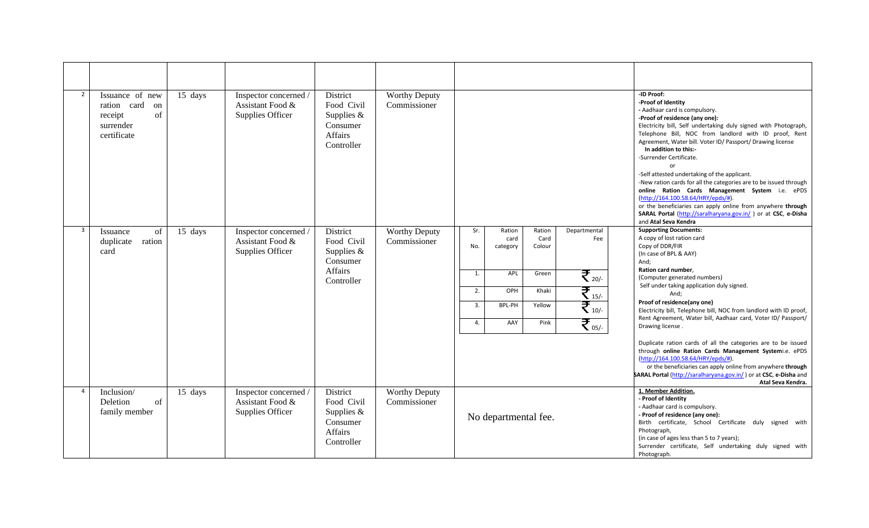| $\overline{2}$ | Issuance of new<br>ration card<br>on<br>of<br>receipt<br>surrender<br>certificate | 15 days | Inspector concerned /<br>Assistant Food &<br>Supplies Officer | District<br>Food Civil<br>Supplies $&$<br>Consumer<br>Affairs<br>Controller | <b>Worthy Deputy</b><br>Commissioner |                                                                                                                                                                                                                                                                          | -ID Proof:<br>-Proof of Identity<br>- Aadhaar card is compulsory.<br>-Proof of residence (any one):<br>Electricity bill, Self undertaking duly signed with Photograph,<br>Telephone Bill, NOC from landlord with ID proof, Rent<br>Agreement, Water bill. Voter ID/ Passport/ Drawing license<br>In addition to this:-<br>-Surrender Certificate.<br>or<br>-Self attested undertaking of the applicant.<br>-New ration cards for all the categories are to be issued through<br>online Ration Cards Management System i.e. ePDS<br>(http://164.100.58.64/HRY/epds/#).<br>or the beneficiaries can apply online from anywhere through<br>SARAL Portal (http://saralharyana.gov.in/) or at CSC, e-Disha<br>and Atal Seva Kendra                    |
|----------------|-----------------------------------------------------------------------------------|---------|---------------------------------------------------------------|-----------------------------------------------------------------------------|--------------------------------------|--------------------------------------------------------------------------------------------------------------------------------------------------------------------------------------------------------------------------------------------------------------------------|--------------------------------------------------------------------------------------------------------------------------------------------------------------------------------------------------------------------------------------------------------------------------------------------------------------------------------------------------------------------------------------------------------------------------------------------------------------------------------------------------------------------------------------------------------------------------------------------------------------------------------------------------------------------------------------------------------------------------------------------------|
| $\overline{3}$ | of<br>Issuance<br>duplicate ration<br>card                                        | 15 days | Inspector concerned /<br>Assistant Food &<br>Supplies Officer | District<br>Food Civil<br>Supplies $&$<br>Consumer<br>Affairs<br>Controller | <b>Worthy Deputy</b><br>Commissioner | Sr.<br>Ration<br>Departmental<br>Ration<br>Card<br>Fee<br>card<br>Colour<br>No.<br>category<br>$\overline{\mathcal{F}}_{_{20/-}}$<br>APL<br>1.<br>Green<br>₹ 15/-<br>OPH<br>Khaki<br>2.<br>$\mathfrak{F}_{_{10/-}}$<br>Yellow<br>3.<br>BPL-PH<br>₹.<br>Pink<br>4.<br>AAY | <b>Supporting Documents:</b><br>A copy of lost ration card<br>Copy of DDR/FIR<br>(In case of BPL & AAY)<br>And;<br>Ration card number,<br>(Computer generated numbers)<br>Self under taking application duly signed.<br>And;<br>Proof of residence(any one)<br>Electricity bill, Telephone bill, NOC from landlord with ID proof,<br>Rent Agreement, Water bill, Aadhaar card, Voter ID/ Passport/<br>Drawing license.<br>Duplicate ration cards of all the categories are to be issued<br>through online Ration Cards Management Systemi.e. ePDS<br>(http://164.100.58.64/HRY/epds/#).<br>or the beneficiaries can apply online from anywhere through<br>SARAL Portal (http://saralharyana.gov.in/) or at CSC, e-Disha and<br>Atal Seva Kendra. |
| $\overline{4}$ | Inclusion/<br>Deletion<br>of<br>family member                                     | 15 days | Inspector concerned /<br>Assistant Food &<br>Supplies Officer | District<br>Food Civil<br>Supplies $&$<br>Consumer<br>Affairs<br>Controller | <b>Worthy Deputy</b><br>Commissioner | No departmental fee.                                                                                                                                                                                                                                                     | 1. Member Addition.<br>- Proof of Identity<br>- Aadhaar card is compulsory.<br>- Proof of residence (any one):<br>Birth certificate, School Certificate duly signed with<br>Photograph,<br>(in case of ages less than 5 to 7 years);<br>Surrender certificate, Self undertaking duly signed with<br>Photograph.                                                                                                                                                                                                                                                                                                                                                                                                                                  |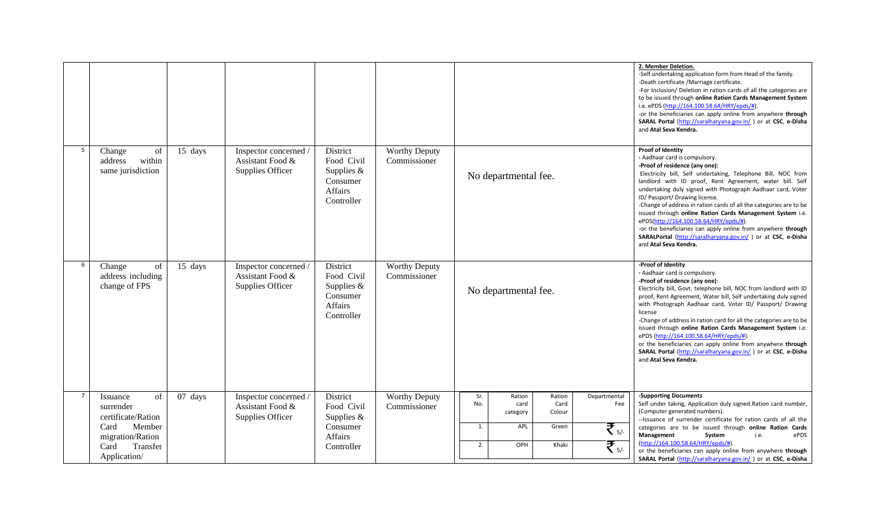|   |                                                                                                                             |         |                                                               |                                                                             |                                      |                                                                                                                                                                                                        | 2. Member Deletion.<br>-Self undertaking application form from Head of the family.<br>-Death certificate /Marriage certificate.<br>-For Inclusion/ Deletion in ration cards of all the categories are<br>to be issued through online Ration Cards Management System<br>i.e. ePDS (http://164.100.58.64/HRY/epds/#).<br>-or the beneficiaries can apply online from anywhere through<br>SARAL Portal (http://saralharyana.gov.in/) or at CSC, e-Disha<br>and Atal Seva Kendra.                                                                                                                                                                           |
|---|-----------------------------------------------------------------------------------------------------------------------------|---------|---------------------------------------------------------------|-----------------------------------------------------------------------------|--------------------------------------|--------------------------------------------------------------------------------------------------------------------------------------------------------------------------------------------------------|---------------------------------------------------------------------------------------------------------------------------------------------------------------------------------------------------------------------------------------------------------------------------------------------------------------------------------------------------------------------------------------------------------------------------------------------------------------------------------------------------------------------------------------------------------------------------------------------------------------------------------------------------------|
| 5 | Change<br>of<br>within<br>address<br>same jurisdiction                                                                      | 15 days | Inspector concerned /<br>Assistant Food &<br>Supplies Officer | District<br>Food Civil<br>Supplies $&$<br>Consumer<br>Affairs<br>Controller | <b>Worthy Deputy</b><br>Commissioner | No departmental fee.                                                                                                                                                                                   | Proof of Identity<br>- Aadhaar card is compulsory.<br>-Proof of residence (any one):<br>Electricity bill, Self undertaking, Telephone Bill, NOC from<br>landlord with ID proof, Rent Agreement, water bill. Self<br>undertaking duly signed with Photograph Aadhaar card, Voter<br>ID/ Passport/ Drawing license.<br>-Change of address in ration cards of all the categories are to be<br>issued through online Ration Cards Management System i.e.<br>ePDS(http://164.100.58.64/HRY/epds/#).<br>-or the beneficiaries can apply online from anywhere through<br>SARALPortal (http://saralharyana.gov.in/) or at CSC, e-Disha<br>and Atal Seva Kendra. |
| 6 | Change<br>of<br>address including<br>change of FPS                                                                          | 15 days | Inspector concerned /<br>Assistant Food &<br>Supplies Officer | District<br>Food Civil<br>Supplies $&$<br>Consumer<br>Affairs<br>Controller | <b>Worthy Deputy</b><br>Commissioner | No departmental fee.                                                                                                                                                                                   | -Proof of Identity<br>- Aadhaar card is compulsory.<br>-Proof of residence (any one):<br>Electricity bill, Govt. telephone bill, NOC from landlord with ID<br>proof, Rent Agreement, Water bill, Self undertaking duly signed<br>with Photograph Aadhaar card, Voter ID/ Passport/ Drawing<br>license<br>-Change of address in ration card for all the categories are to be<br>issued through online Ration Cards Management System i.e.<br>ePDS (http://164.100.58.64/HRY/epds/#)<br>or the beneficiaries can apply online from anywhere through<br>SARAL Portal (http://saralharyana.gov.in/) or at CSC, e-Disha<br>and Atal Seva Kendra.             |
| 7 | Issuance<br>of<br>surrender<br>certificate/Ration<br>Card<br>Member<br>migration/Ration<br>Transfer<br>Card<br>Application/ | 07 days | Inspector concerned /<br>Assistant Food &<br>Supplies Officer | District<br>Food Civil<br>Supplies $&$<br>Consumer<br>Affairs<br>Controller | <b>Worthy Deputy</b><br>Commissioner | Ration<br>Sr.<br>Ration<br>Departmental<br>No.<br>Card<br>card<br>Fee<br>Colour<br>category<br>$\overline{\mathcal{F}}_{\scriptscriptstyle{5/-}}$<br>APL<br>Green<br>1.<br>₹ 5/-<br>2.<br>OPH<br>Khaki | -Supporting Documents<br>Self under taking, Application duly signed. Ration card number,<br>(Computer generated numbers).<br>--Issuance of surrender certificate for ration cards of all the<br>categories are to be issued through online Ration Cards<br>Management<br>ePDS<br>System<br>i.e.<br>(http://164.100.58.64/HRY/epds/#).<br>or the beneficiaries can apply online from anywhere through<br>SARAL Portal (http://saralharyana.gov.in/) or at CSC, e-Disha                                                                                                                                                                                   |